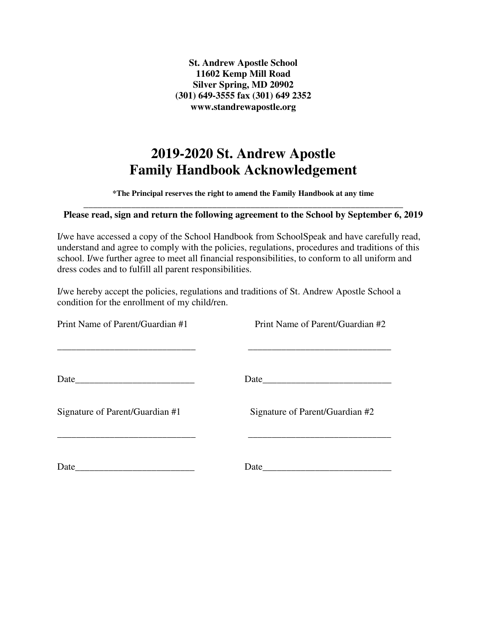**St. Andrew Apostle School 11602 Kemp Mill Road Silver Spring, MD 20902 (301) 649-3555 fax (301) 649 2352 www.standrewapostle.org** 

# **2019-2020 St. Andrew Apostle Family Handbook Acknowledgement**

**\*The Principal reserves the right to amend the Family Handbook at any time** 

#### \_\_\_\_\_\_\_\_\_\_\_\_\_\_\_\_\_\_\_\_\_\_\_\_\_\_\_\_\_\_\_\_\_\_\_\_\_\_\_\_\_\_\_\_\_\_\_\_\_\_\_\_\_\_\_\_\_\_\_\_\_\_\_\_\_\_\_ **Please read, sign and return the following agreement to the School by September 6, 2019**

I/we have accessed a copy of the School Handbook from SchoolSpeak and have carefully read, understand and agree to comply with the policies, regulations, procedures and traditions of this school. I/we further agree to meet all financial responsibilities, to conform to all uniform and dress codes and to fulfill all parent responsibilities.

I/we hereby accept the policies, regulations and traditions of St. Andrew Apostle School a condition for the enrollment of my child/ren.

| Print Name of Parent/Guardian #1                                                                                             | Print Name of Parent/Guardian #2<br><u> 1989 - Johann Stoff, amerikansk politiker (* 1908)</u> |
|------------------------------------------------------------------------------------------------------------------------------|------------------------------------------------------------------------------------------------|
| Date                                                                                                                         |                                                                                                |
| Signature of Parent/Guardian #1                                                                                              | Signature of Parent/Guardian #2                                                                |
| Date<br><u> 1989 - Johann John Stone, markin film ar yn y brenin y brenin y brenin y brenin y brenin y brenin y brenin y</u> |                                                                                                |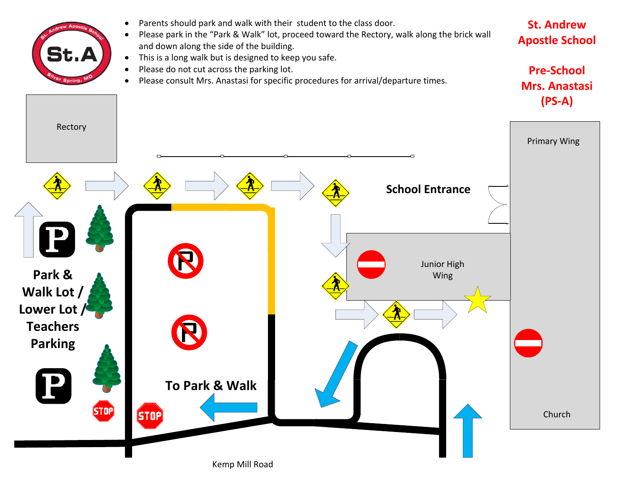

Kemp Mill Road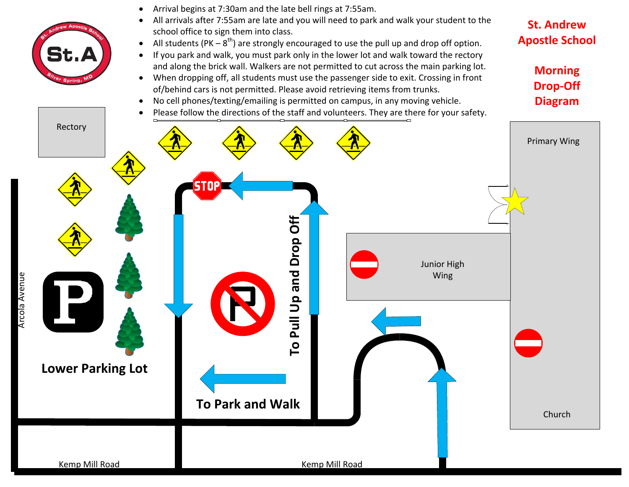

Arcola Avenue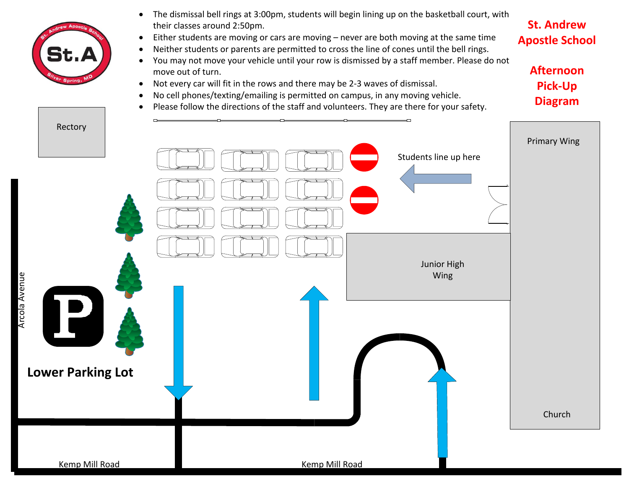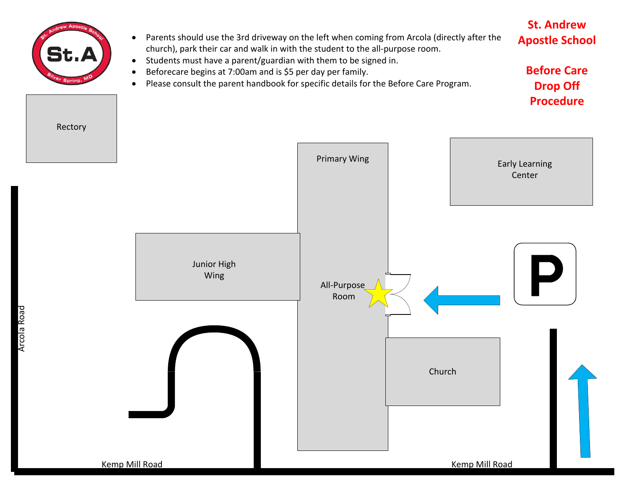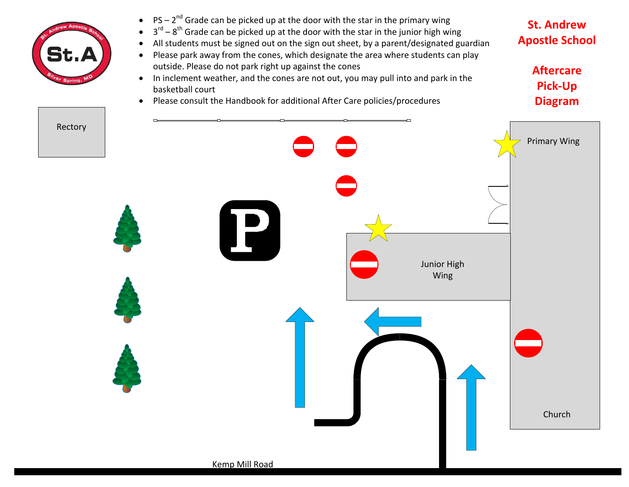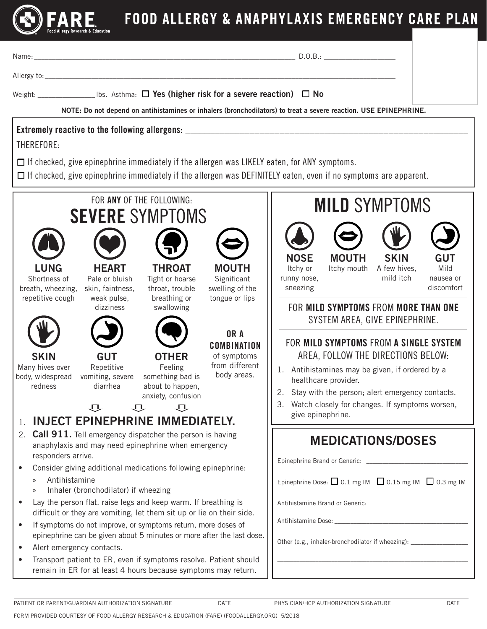

# FOOD ALLERGY & ANAPHYLAXIS EMERGENCY CARE PLAN

|                                                                                                                                                                                                                                                                                                                 | D.O.B.:                                                                                                                                                                                                                                                                                        |  |  |  |
|-----------------------------------------------------------------------------------------------------------------------------------------------------------------------------------------------------------------------------------------------------------------------------------------------------------------|------------------------------------------------------------------------------------------------------------------------------------------------------------------------------------------------------------------------------------------------------------------------------------------------|--|--|--|
|                                                                                                                                                                                                                                                                                                                 |                                                                                                                                                                                                                                                                                                |  |  |  |
| Weight: _____________________Ibs. Asthma: $\Box$ Yes (higher risk for a severe reaction) $\Box$ No<br>NOTE: Do not depend on antihistamines or inhalers (bronchodilators) to treat a severe reaction. USE EPINEPHRINE.                                                                                          |                                                                                                                                                                                                                                                                                                |  |  |  |
| Extremely reactive to the following allergens: _________________________________<br>THEREFORE:                                                                                                                                                                                                                  |                                                                                                                                                                                                                                                                                                |  |  |  |
| $\Box$ If checked, give epinephrine immediately if the allergen was LIKELY eaten, for ANY symptoms.<br>$\Box$ If checked, give epinephrine immediately if the allergen was DEFINITELY eaten, even if no symptoms are apparent.                                                                                  |                                                                                                                                                                                                                                                                                                |  |  |  |
| FOR ANY OF THE FOLLOWING:<br><b>SEVERE SYMPTOMS</b>                                                                                                                                                                                                                                                             | <b>MILD SYMPTOMS</b>                                                                                                                                                                                                                                                                           |  |  |  |
| <b>HEART</b><br><b>THROAT</b><br><b>MOUTH</b><br><b>LUNG</b><br>Pale or bluish<br>Significant<br>Shortness of<br>Tight or hoarse<br>swelling of the<br>breath, wheezing,<br>skin, faintness,<br>throat, trouble<br>repetitive cough<br>weak pulse,<br>breathing or<br>tongue or lips<br>dizziness<br>swallowing | <b>NOSE</b><br><b>MOUTH</b><br><b>SKIN</b><br><b>GUT</b><br>Mild<br>Itchy or<br>Itchy mouth A few hives,<br>mild itch<br>runny nose,<br>nausea or<br>discomfort<br>sneezing<br>FOR MILD SYMPTOMS FROM MORE THAN ONE                                                                            |  |  |  |
| OR A<br><b>COMBINATION</b><br><b>OTHER</b><br><b>SKIN</b><br><b>GUT</b><br>of symptoms<br>from different<br>Repetitive<br>Many hives over<br>Feeling<br>body areas.<br>body, widespread<br>vomiting, severe<br>something bad is<br>about to happen,<br>redness<br>diarrhea<br>anxiety, confusion<br>乜<br>乜<br>乜 | SYSTEM AREA, GIVE EPINEPHRINE.<br>FOR MILD SYMPTOMS FROM A SINGLE SYSTEM<br>AREA, FOLLOW THE DIRECTIONS BELOW:<br>1. Antihistamines may be given, if ordered by a<br>healthcare provider.<br>Stay with the person; alert emergency contacts.<br>Watch closely for changes. If symptoms worsen, |  |  |  |
| <b>INJECT EPINEPHRINE IMMEDIATELY.</b><br>1.<br><b>Call 911.</b> Tell emergency dispatcher the person is having<br>2.<br>anaphylaxis and may need epinephrine when emergency<br>responders arrive.<br>Consider giving additional medications following epinephrine:                                             | give epinephrine.<br><b>MEDICATIONS/DOSES</b>                                                                                                                                                                                                                                                  |  |  |  |
| Antihistamine<br>$\rangle$<br>Inhaler (bronchodilator) if wheezing<br>$\mathcal{Y}$                                                                                                                                                                                                                             | Epinephrine Dose: $\Box$ 0.1 mg IM $\Box$ 0.15 mg IM $\Box$ 0.3 mg IM                                                                                                                                                                                                                          |  |  |  |
| Lay the person flat, raise legs and keep warm. If breathing is<br>difficult or they are vomiting, let them sit up or lie on their side.                                                                                                                                                                         |                                                                                                                                                                                                                                                                                                |  |  |  |
| If symptoms do not improve, or symptoms return, more doses of<br>epinephrine can be given about 5 minutes or more after the last dose.                                                                                                                                                                          |                                                                                                                                                                                                                                                                                                |  |  |  |
| Alert emergency contacts.<br>$\bullet$<br>Transport patient to ER, even if symptoms resolve. Patient should<br>remain in ER for at least 4 hours because symptoms may return.                                                                                                                                   | Other (e.g., inhaler-bronchodilator if wheezing): ______________________________                                                                                                                                                                                                               |  |  |  |
| PATIENT OR PARENT/GUARDIAN AUTHORIZATION SIGNATURE<br>DATE                                                                                                                                                                                                                                                      | PHYSICIAN/HCP AUTHORIZATION SIGNATURE<br>DATE                                                                                                                                                                                                                                                  |  |  |  |

FORM PROVIDED COURTESY OF FOOD ALLERGY RESEARCH & EDUCATION (FARE) (FOODALLERGY.ORG) 5/2018